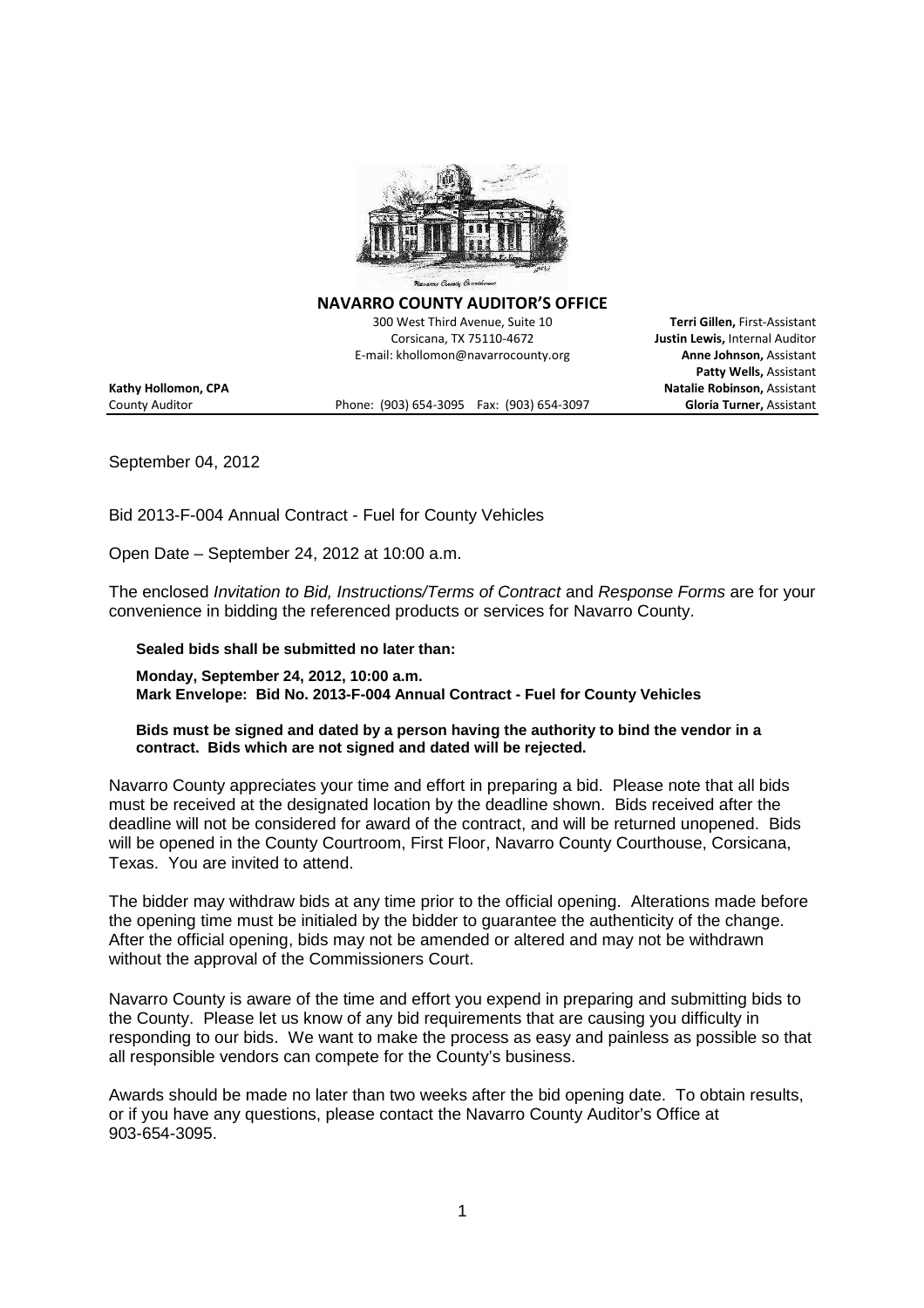

**NAVARRO COUNTY AUDITOR'S OFFICE**

300 West Third Avenue, Suite 10 **Terri Gillen,** First-Assistant Corsicana, TX 75110-4672 **Justin Lewis,** Internal Auditor E-mail: khollomon@navarrocounty.org **Anne Johnson,** Assistant

County Auditor Phone: (903) 654-3095 Fax: (903) 654-3097 **Gloria Turner,** Assistant

**Patty Wells,** Assistant **Kathy Hollomon, CPA Natalie Robinson,** Assistant

September 04, 2012

Bid 2013-F-004 Annual Contract - Fuel for County Vehicles

Open Date – September 24, 2012 at 10:00 a.m.

The enclosed *Invitation to Bid, Instructions/Terms of Contract* and *Response Forms* are for your convenience in bidding the referenced products or services for Navarro County.

**Sealed bids shall be submitted no later than:**

**Monday, September 24, 2012, 10:00 a.m. Mark Envelope: Bid No. 2013-F-004 Annual Contract - Fuel for County Vehicles**

**Bids must be signed and dated by a person having the authority to bind the vendor in a contract. Bids which are not signed and dated will be rejected.**

Navarro County appreciates your time and effort in preparing a bid. Please note that all bids must be received at the designated location by the deadline shown. Bids received after the deadline will not be considered for award of the contract, and will be returned unopened. Bids will be opened in the County Courtroom, First Floor, Navarro County Courthouse, Corsicana, Texas. You are invited to attend.

The bidder may withdraw bids at any time prior to the official opening. Alterations made before the opening time must be initialed by the bidder to guarantee the authenticity of the change. After the official opening, bids may not be amended or altered and may not be withdrawn without the approval of the Commissioners Court.

Navarro County is aware of the time and effort you expend in preparing and submitting bids to the County. Please let us know of any bid requirements that are causing you difficulty in responding to our bids. We want to make the process as easy and painless as possible so that all responsible vendors can compete for the County's business.

Awards should be made no later than two weeks after the bid opening date. To obtain results, or if you have any questions, please contact the Navarro County Auditor's Office at 903-654-3095.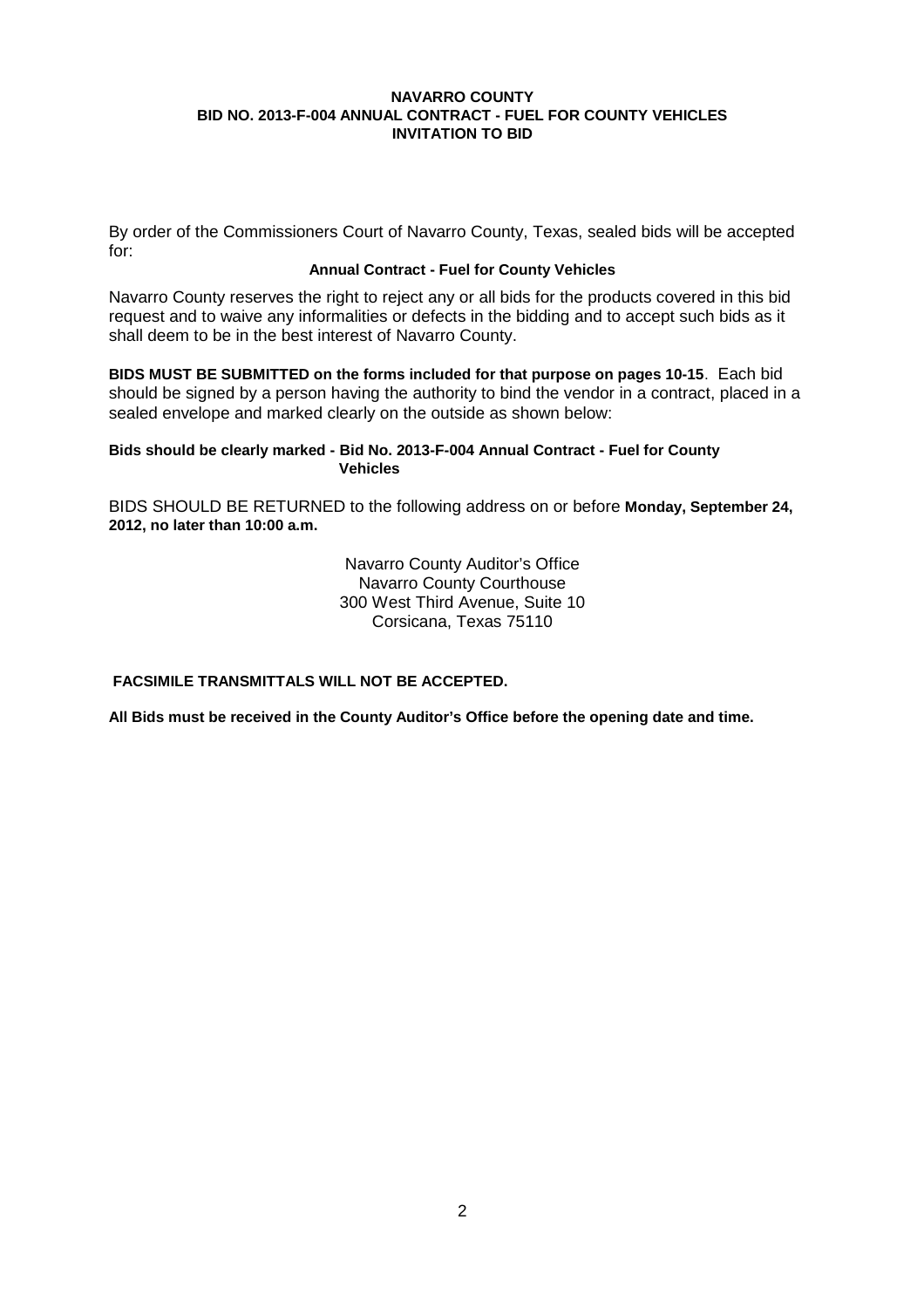By order of the Commissioners Court of Navarro County, Texas, sealed bids will be accepted for:

## **Annual Contract - Fuel for County Vehicles**

Navarro County reserves the right to reject any or all bids for the products covered in this bid request and to waive any informalities or defects in the bidding and to accept such bids as it shall deem to be in the best interest of Navarro County.

**BIDS MUST BE SUBMITTED on the forms included for that purpose on pages 10-15**. Each bid should be signed by a person having the authority to bind the vendor in a contract, placed in a sealed envelope and marked clearly on the outside as shown below:

## **Bids should be clearly marked - Bid No. 2013-F-004 Annual Contract - Fuel for County Vehicles**

BIDS SHOULD BE RETURNED to the following address on or before **Monday, September 24, 2012, no later than 10:00 a.m.**

> Navarro County Auditor's Office Navarro County Courthouse 300 West Third Avenue, Suite 10 Corsicana, Texas 75110

**FACSIMILE TRANSMITTALS WILL NOT BE ACCEPTED.**

**All Bids must be received in the County Auditor's Office before the opening date and time.**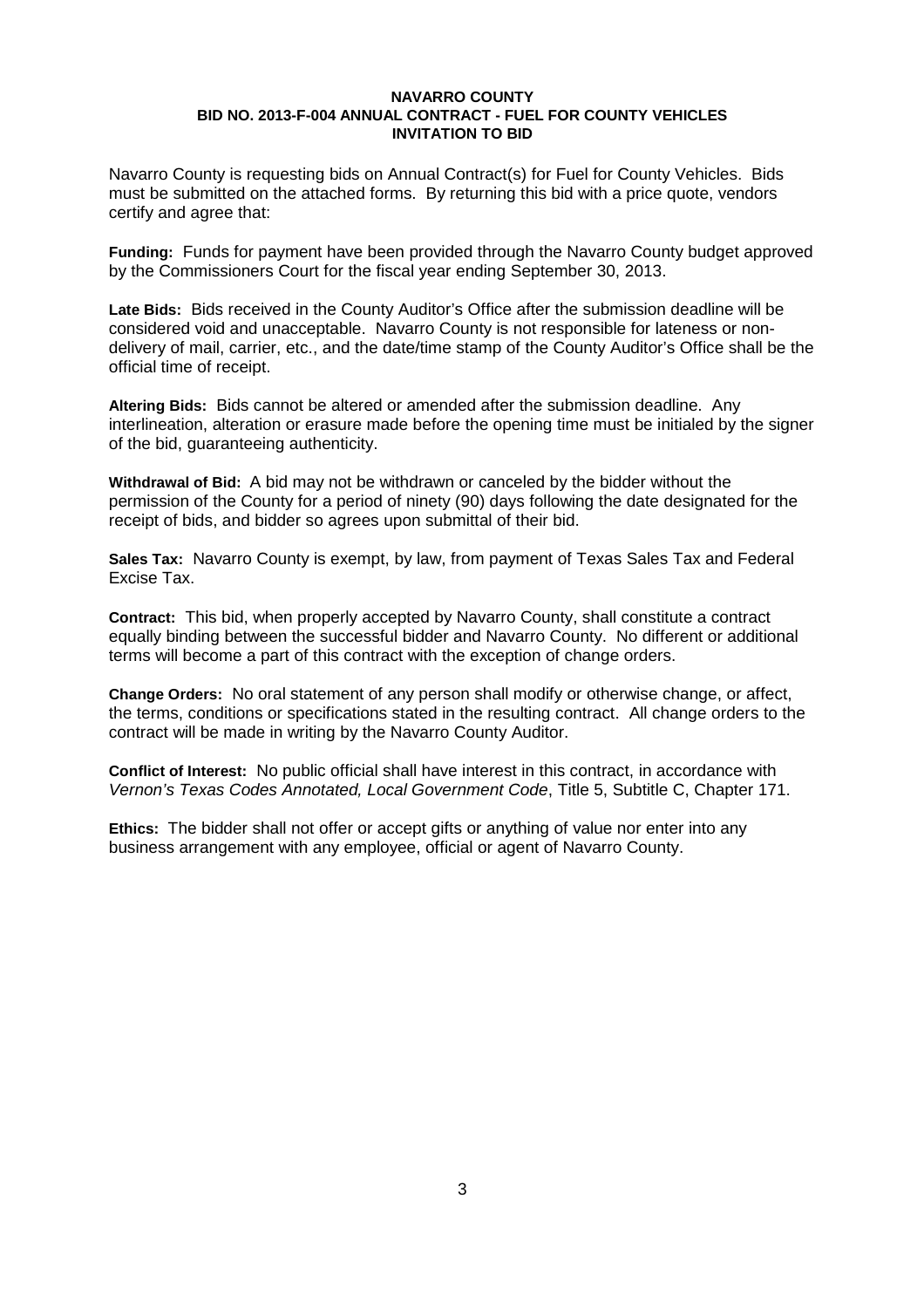Navarro County is requesting bids on Annual Contract(s) for Fuel for County Vehicles. Bids must be submitted on the attached forms. By returning this bid with a price quote, vendors certify and agree that:

**Funding:** Funds for payment have been provided through the Navarro County budget approved by the Commissioners Court for the fiscal year ending September 30, 2013.

**Late Bids:** Bids received in the County Auditor's Office after the submission deadline will be considered void and unacceptable. Navarro County is not responsible for lateness or nondelivery of mail, carrier, etc., and the date/time stamp of the County Auditor's Office shall be the official time of receipt.

**Altering Bids:** Bids cannot be altered or amended after the submission deadline. Any interlineation, alteration or erasure made before the opening time must be initialed by the signer of the bid, guaranteeing authenticity.

**Withdrawal of Bid:** A bid may not be withdrawn or canceled by the bidder without the permission of the County for a period of ninety (90) days following the date designated for the receipt of bids, and bidder so agrees upon submittal of their bid.

**Sales Tax:** Navarro County is exempt, by law, from payment of Texas Sales Tax and Federal Excise Tax.

**Contract:** This bid, when properly accepted by Navarro County, shall constitute a contract equally binding between the successful bidder and Navarro County. No different or additional terms will become a part of this contract with the exception of change orders.

**Change Orders:** No oral statement of any person shall modify or otherwise change, or affect, the terms, conditions or specifications stated in the resulting contract. All change orders to the contract will be made in writing by the Navarro County Auditor.

**Conflict of Interest:** No public official shall have interest in this contract, in accordance with *Vernon's Texas Codes Annotated, Local Government Code*, Title 5, Subtitle C, Chapter 171.

**Ethics:** The bidder shall not offer or accept gifts or anything of value nor enter into any business arrangement with any employee, official or agent of Navarro County.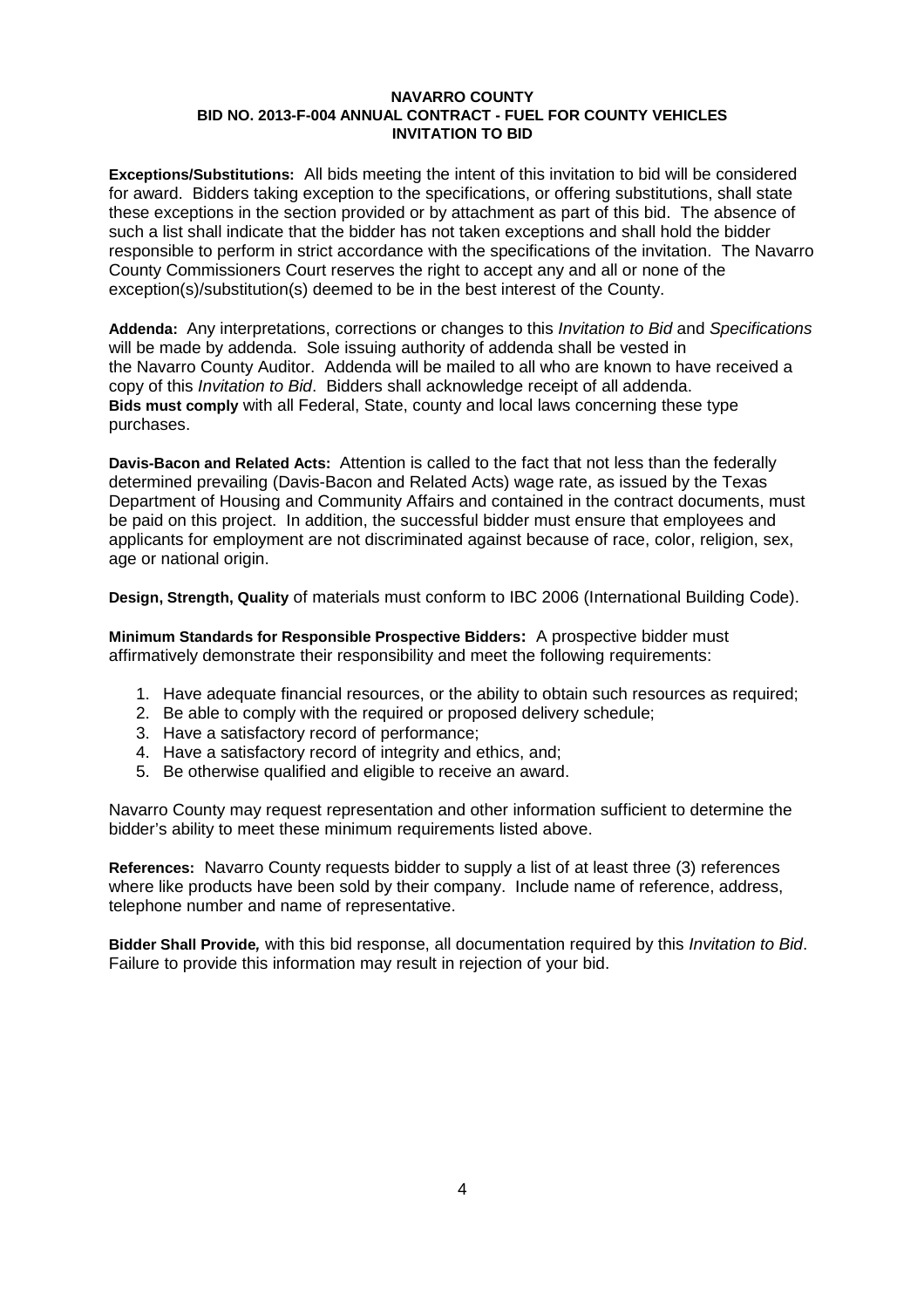**Exceptions/Substitutions:** All bids meeting the intent of this invitation to bid will be considered for award. Bidders taking exception to the specifications, or offering substitutions, shall state these exceptions in the section provided or by attachment as part of this bid. The absence of such a list shall indicate that the bidder has not taken exceptions and shall hold the bidder responsible to perform in strict accordance with the specifications of the invitation. The Navarro County Commissioners Court reserves the right to accept any and all or none of the exception(s)/substitution(s) deemed to be in the best interest of the County.

**Addenda:** Any interpretations, corrections or changes to this *Invitation to Bid* and *Specifications* will be made by addenda. Sole issuing authority of addenda shall be vested in the Navarro County Auditor. Addenda will be mailed to all who are known to have received a copy of this *Invitation to Bid*. Bidders shall acknowledge receipt of all addenda. **Bids must comply** with all Federal, State, county and local laws concerning these type purchases.

**Davis-Bacon and Related Acts:** Attention is called to the fact that not less than the federally determined prevailing (Davis-Bacon and Related Acts) wage rate, as issued by the Texas Department of Housing and Community Affairs and contained in the contract documents, must be paid on this project. In addition, the successful bidder must ensure that employees and applicants for employment are not discriminated against because of race, color, religion, sex, age or national origin.

**Design, Strength, Quality** of materials must conform to IBC 2006 (International Building Code).

**Minimum Standards for Responsible Prospective Bidders:** A prospective bidder must affirmatively demonstrate their responsibility and meet the following requirements:

- 1. Have adequate financial resources, or the ability to obtain such resources as required;
- 2. Be able to comply with the required or proposed delivery schedule;
- 3. Have a satisfactory record of performance;
- 4. Have a satisfactory record of integrity and ethics, and;
- 5. Be otherwise qualified and eligible to receive an award.

Navarro County may request representation and other information sufficient to determine the bidder's ability to meet these minimum requirements listed above.

**References:** Navarro County requests bidder to supply a list of at least three (3) references where like products have been sold by their company. Include name of reference, address, telephone number and name of representative.

**Bidder Shall Provide***,* with this bid response, all documentation required by this *Invitation to Bid*. Failure to provide this information may result in rejection of your bid.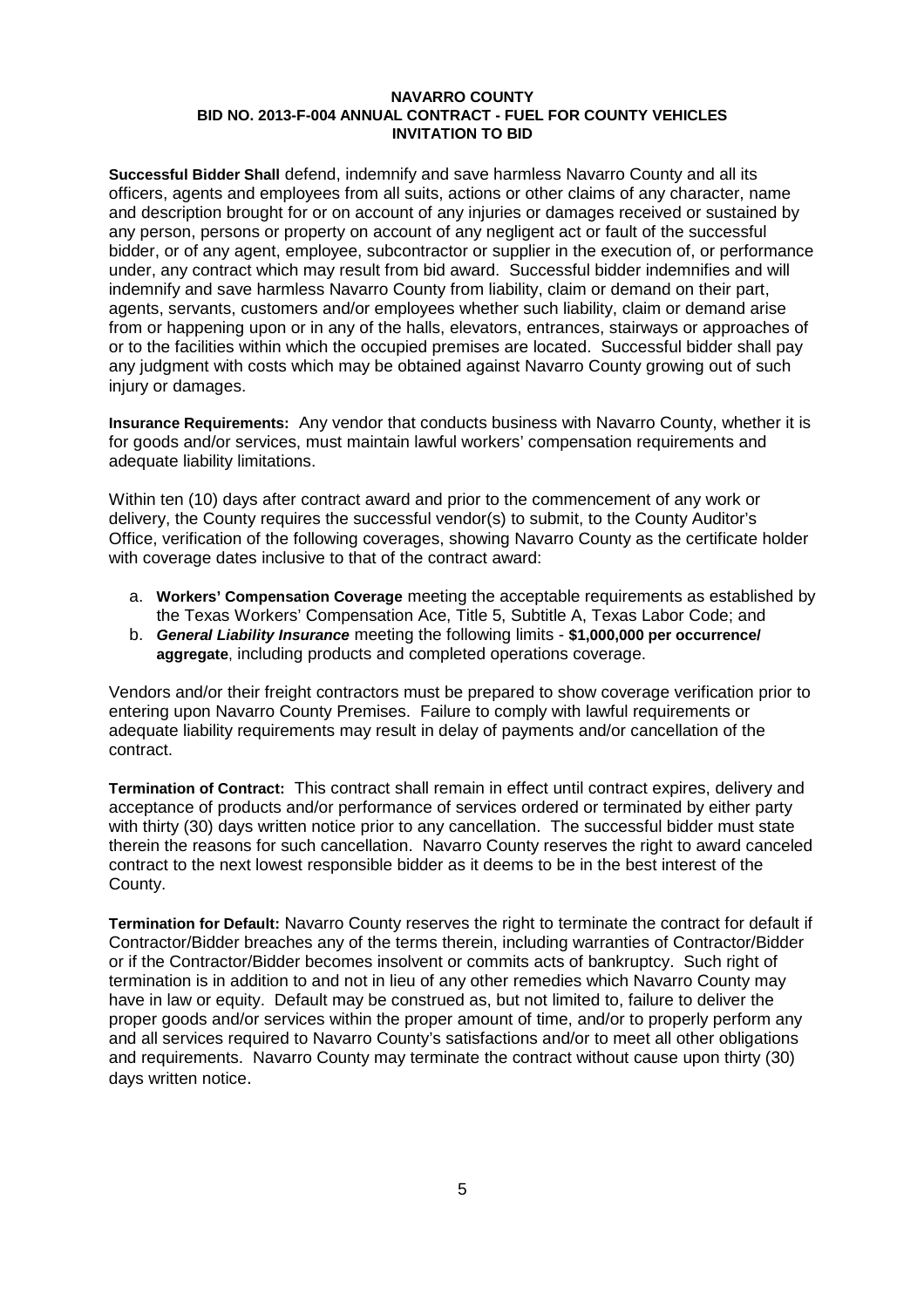**Successful Bidder Shall** defend, indemnify and save harmless Navarro County and all its officers, agents and employees from all suits, actions or other claims of any character, name and description brought for or on account of any injuries or damages received or sustained by any person, persons or property on account of any negligent act or fault of the successful bidder, or of any agent, employee, subcontractor or supplier in the execution of, or performance under, any contract which may result from bid award. Successful bidder indemnifies and will indemnify and save harmless Navarro County from liability, claim or demand on their part, agents, servants, customers and/or employees whether such liability, claim or demand arise from or happening upon or in any of the halls, elevators, entrances, stairways or approaches of or to the facilities within which the occupied premises are located. Successful bidder shall pay any judgment with costs which may be obtained against Navarro County growing out of such injury or damages.

**Insurance Requirements:** Any vendor that conducts business with Navarro County, whether it is for goods and/or services, must maintain lawful workers' compensation requirements and adequate liability limitations.

Within ten (10) days after contract award and prior to the commencement of any work or delivery, the County requires the successful vendor(s) to submit, to the County Auditor's Office, verification of the following coverages, showing Navarro County as the certificate holder with coverage dates inclusive to that of the contract award:

- a. **Workers' Compensation Coverage** meeting the acceptable requirements as established by the Texas Workers' Compensation Ace, Title 5, Subtitle A, Texas Labor Code; and
- b. *General Liability Insurance* meeting the following limits **\$1,000,000 per occurrence/ aggregate**, including products and completed operations coverage.

Vendors and/or their freight contractors must be prepared to show coverage verification prior to entering upon Navarro County Premises. Failure to comply with lawful requirements or adequate liability requirements may result in delay of payments and/or cancellation of the contract.

**Termination of Contract:** This contract shall remain in effect until contract expires, delivery and acceptance of products and/or performance of services ordered or terminated by either party with thirty (30) days written notice prior to any cancellation. The successful bidder must state therein the reasons for such cancellation. Navarro County reserves the right to award canceled contract to the next lowest responsible bidder as it deems to be in the best interest of the County.

**Termination for Default:** Navarro County reserves the right to terminate the contract for default if Contractor/Bidder breaches any of the terms therein, including warranties of Contractor/Bidder or if the Contractor/Bidder becomes insolvent or commits acts of bankruptcy. Such right of termination is in addition to and not in lieu of any other remedies which Navarro County may have in law or equity. Default may be construed as, but not limited to, failure to deliver the proper goods and/or services within the proper amount of time, and/or to properly perform any and all services required to Navarro County's satisfactions and/or to meet all other obligations and requirements. Navarro County may terminate the contract without cause upon thirty (30) days written notice.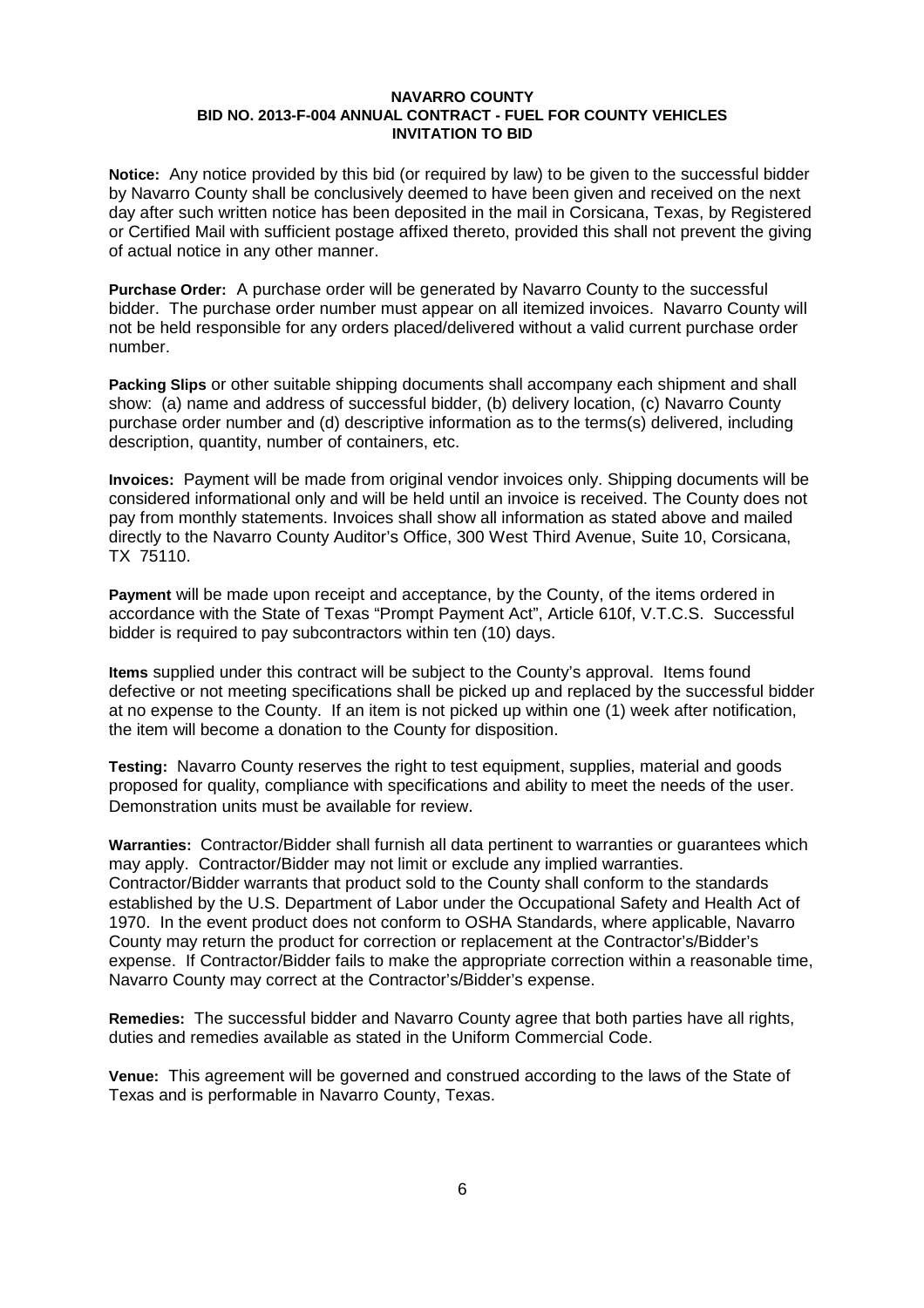**Notice:** Any notice provided by this bid (or required by law) to be given to the successful bidder by Navarro County shall be conclusively deemed to have been given and received on the next day after such written notice has been deposited in the mail in Corsicana, Texas, by Registered or Certified Mail with sufficient postage affixed thereto, provided this shall not prevent the giving of actual notice in any other manner.

**Purchase Order:** A purchase order will be generated by Navarro County to the successful bidder. The purchase order number must appear on all itemized invoices. Navarro County will not be held responsible for any orders placed/delivered without a valid current purchase order number.

**Packing Slips** or other suitable shipping documents shall accompany each shipment and shall show: (a) name and address of successful bidder, (b) delivery location, (c) Navarro County purchase order number and (d) descriptive information as to the terms(s) delivered, including description, quantity, number of containers, etc.

**Invoices:** Payment will be made from original vendor invoices only. Shipping documents will be considered informational only and will be held until an invoice is received. The County does not pay from monthly statements. Invoices shall show all information as stated above and mailed directly to the Navarro County Auditor's Office, 300 West Third Avenue, Suite 10, Corsicana, TX 75110.

**Payment** will be made upon receipt and acceptance, by the County, of the items ordered in accordance with the State of Texas "Prompt Payment Act", Article 610f, V.T.C.S. Successful bidder is required to pay subcontractors within ten (10) days.

**Items** supplied under this contract will be subject to the County's approval. Items found defective or not meeting specifications shall be picked up and replaced by the successful bidder at no expense to the County. If an item is not picked up within one (1) week after notification, the item will become a donation to the County for disposition.

**Testing:** Navarro County reserves the right to test equipment, supplies, material and goods proposed for quality, compliance with specifications and ability to meet the needs of the user. Demonstration units must be available for review.

**Warranties:** Contractor/Bidder shall furnish all data pertinent to warranties or guarantees which may apply. Contractor/Bidder may not limit or exclude any implied warranties. Contractor/Bidder warrants that product sold to the County shall conform to the standards established by the U.S. Department of Labor under the Occupational Safety and Health Act of 1970. In the event product does not conform to OSHA Standards, where applicable, Navarro County may return the product for correction or replacement at the Contractor's/Bidder's expense. If Contractor/Bidder fails to make the appropriate correction within a reasonable time, Navarro County may correct at the Contractor's/Bidder's expense.

**Remedies:** The successful bidder and Navarro County agree that both parties have all rights, duties and remedies available as stated in the Uniform Commercial Code.

**Venue:** This agreement will be governed and construed according to the laws of the State of Texas and is performable in Navarro County, Texas.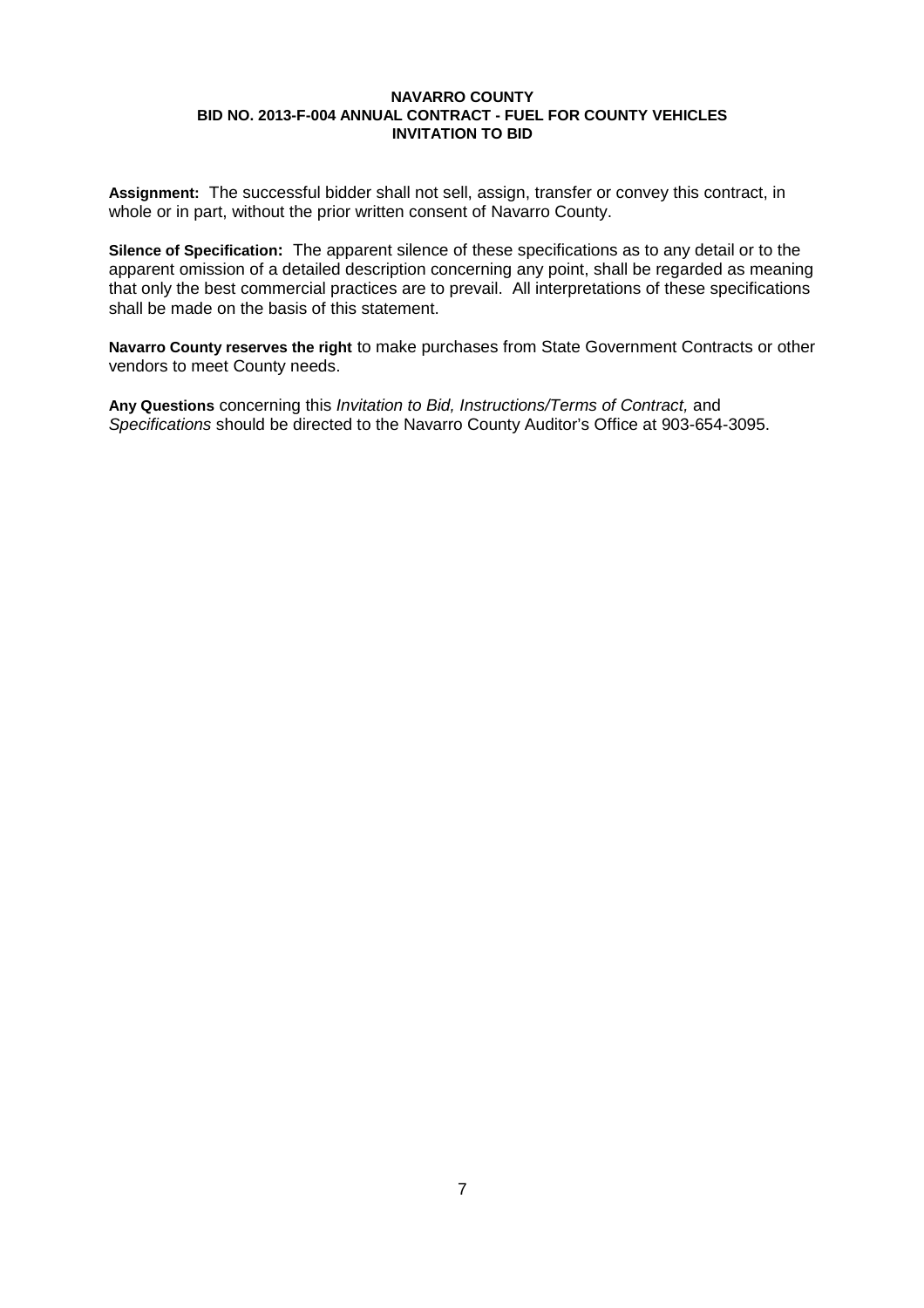**Assignment:** The successful bidder shall not sell, assign, transfer or convey this contract, in whole or in part, without the prior written consent of Navarro County.

**Silence of Specification:** The apparent silence of these specifications as to any detail or to the apparent omission of a detailed description concerning any point, shall be regarded as meaning that only the best commercial practices are to prevail. All interpretations of these specifications shall be made on the basis of this statement.

**Navarro County reserves the right** to make purchases from State Government Contracts or other vendors to meet County needs.

**Any Questions** concerning this *Invitation to Bid, Instructions/Terms of Contract,* and *Specifications* should be directed to the Navarro County Auditor's Office at 903-654-3095.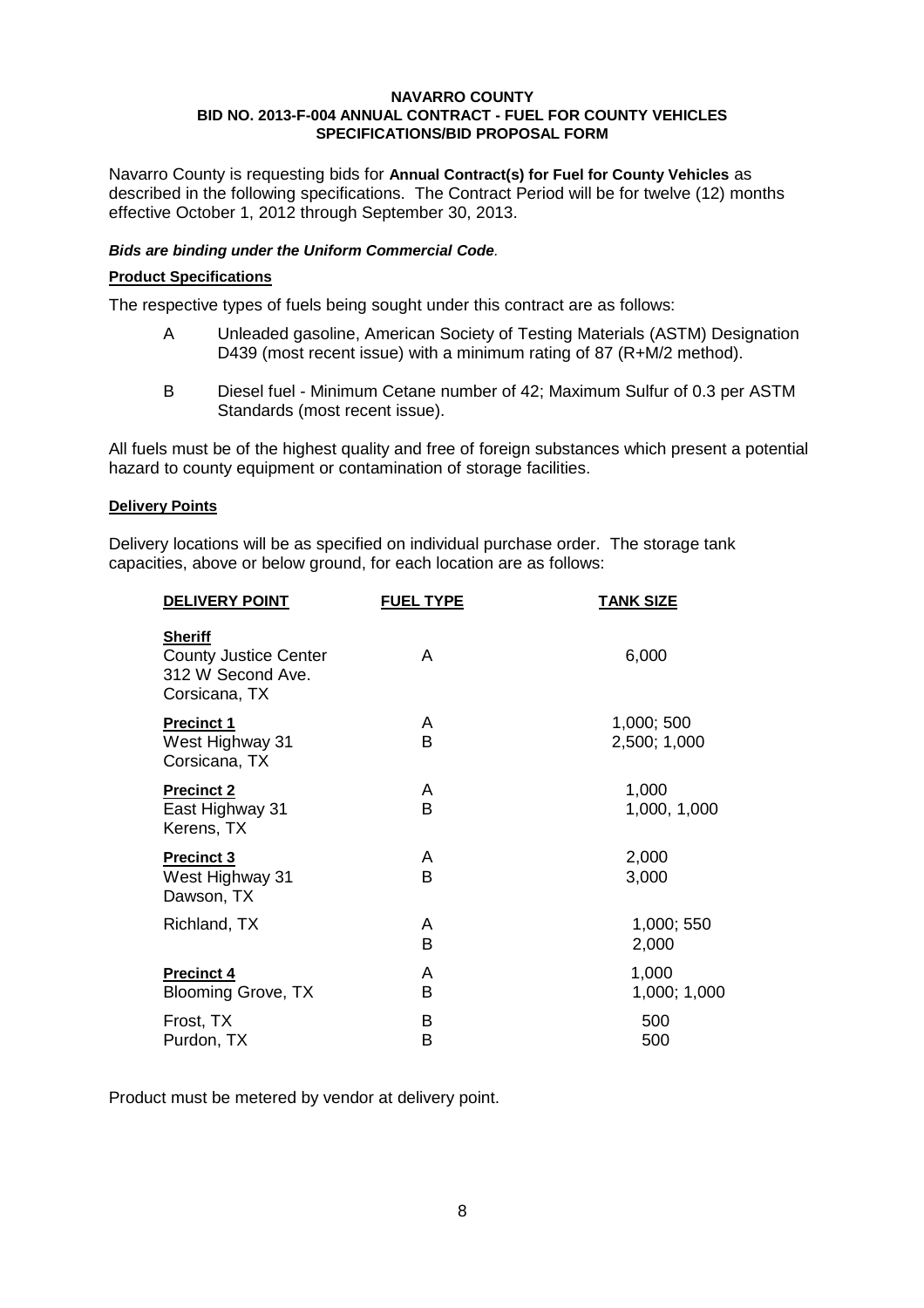Navarro County is requesting bids for **Annual Contract(s) for Fuel for County Vehicles** as described in the following specifications. The Contract Period will be for twelve (12) months effective October 1, 2012 through September 30, 2013.

## *Bids are binding under the Uniform Commercial Code.*

## **Product Specifications**

The respective types of fuels being sought under this contract are as follows:

- A Unleaded gasoline, American Society of Testing Materials (ASTM) Designation D439 (most recent issue) with a minimum rating of 87 (R+M/2 method).
- B Diesel fuel Minimum Cetane number of 42; Maximum Sulfur of 0.3 per ASTM Standards (most recent issue).

All fuels must be of the highest quality and free of foreign substances which present a potential hazard to county equipment or contamination of storage facilities.

## **Delivery Points**

Delivery locations will be as specified on individual purchase order. The storage tank capacities, above or below ground, for each location are as follows:

| <b>DELIVERY POINT</b>                                                                | <b>FUEL TYPE</b> | <b>TANK SIZE</b>           |
|--------------------------------------------------------------------------------------|------------------|----------------------------|
| <b>Sheriff</b><br><b>County Justice Center</b><br>312 W Second Ave.<br>Corsicana, TX | A                | 6,000                      |
| <b>Precinct 1</b><br>West Highway 31<br>Corsicana, TX                                | A<br>в           | 1,000; 500<br>2,500; 1,000 |
| <b>Precinct 2</b><br>East Highway 31<br>Kerens, TX                                   | A<br>B           | 1,000<br>1,000, 1,000      |
| <b>Precinct 3</b><br>West Highway 31<br>Dawson, TX                                   | A<br>в           | 2,000<br>3,000             |
| Richland, TX                                                                         | A<br>B           | 1,000; 550<br>2,000        |
| <b>Precinct 4</b><br><b>Blooming Grove, TX</b>                                       | Α<br>В           | 1,000<br>1,000; 1,000      |
| Frost, TX<br>Purdon, TX                                                              | B<br>в           | 500<br>500                 |

Product must be metered by vendor at delivery point.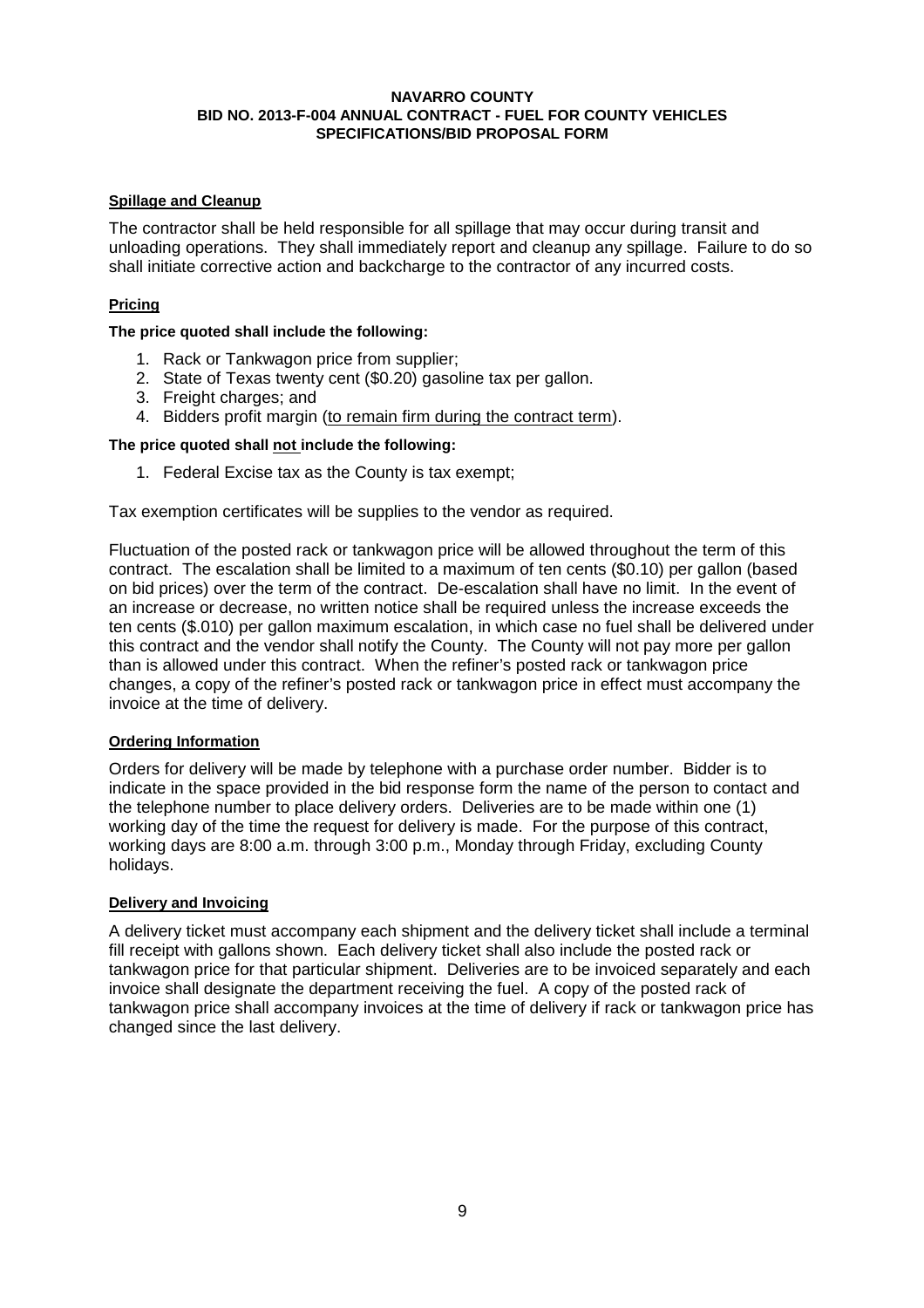## **Spillage and Cleanup**

The contractor shall be held responsible for all spillage that may occur during transit and unloading operations. They shall immediately report and cleanup any spillage. Failure to do so shall initiate corrective action and backcharge to the contractor of any incurred costs.

## **Pricing**

## **The price quoted shall include the following:**

- 1. Rack or Tankwagon price from supplier;
- 2. State of Texas twenty cent (\$0.20) gasoline tax per gallon.
- 3. Freight charges; and
- 4. Bidders profit margin (to remain firm during the contract term).

## **The price quoted shall not include the following:**

1. Federal Excise tax as the County is tax exempt;

Tax exemption certificates will be supplies to the vendor as required.

Fluctuation of the posted rack or tankwagon price will be allowed throughout the term of this contract. The escalation shall be limited to a maximum of ten cents (\$0.10) per gallon (based on bid prices) over the term of the contract. De-escalation shall have no limit. In the event of an increase or decrease, no written notice shall be required unless the increase exceeds the ten cents (\$.010) per gallon maximum escalation, in which case no fuel shall be delivered under this contract and the vendor shall notify the County. The County will not pay more per gallon than is allowed under this contract. When the refiner's posted rack or tankwagon price changes, a copy of the refiner's posted rack or tankwagon price in effect must accompany the invoice at the time of delivery.

## **Ordering Information**

Orders for delivery will be made by telephone with a purchase order number. Bidder is to indicate in the space provided in the bid response form the name of the person to contact and the telephone number to place delivery orders. Deliveries are to be made within one (1) working day of the time the request for delivery is made. For the purpose of this contract, working days are 8:00 a.m. through 3:00 p.m., Monday through Friday, excluding County holidays.

## **Delivery and Invoicing**

A delivery ticket must accompany each shipment and the delivery ticket shall include a terminal fill receipt with gallons shown. Each delivery ticket shall also include the posted rack or tankwagon price for that particular shipment. Deliveries are to be invoiced separately and each invoice shall designate the department receiving the fuel. A copy of the posted rack of tankwagon price shall accompany invoices at the time of delivery if rack or tankwagon price has changed since the last delivery.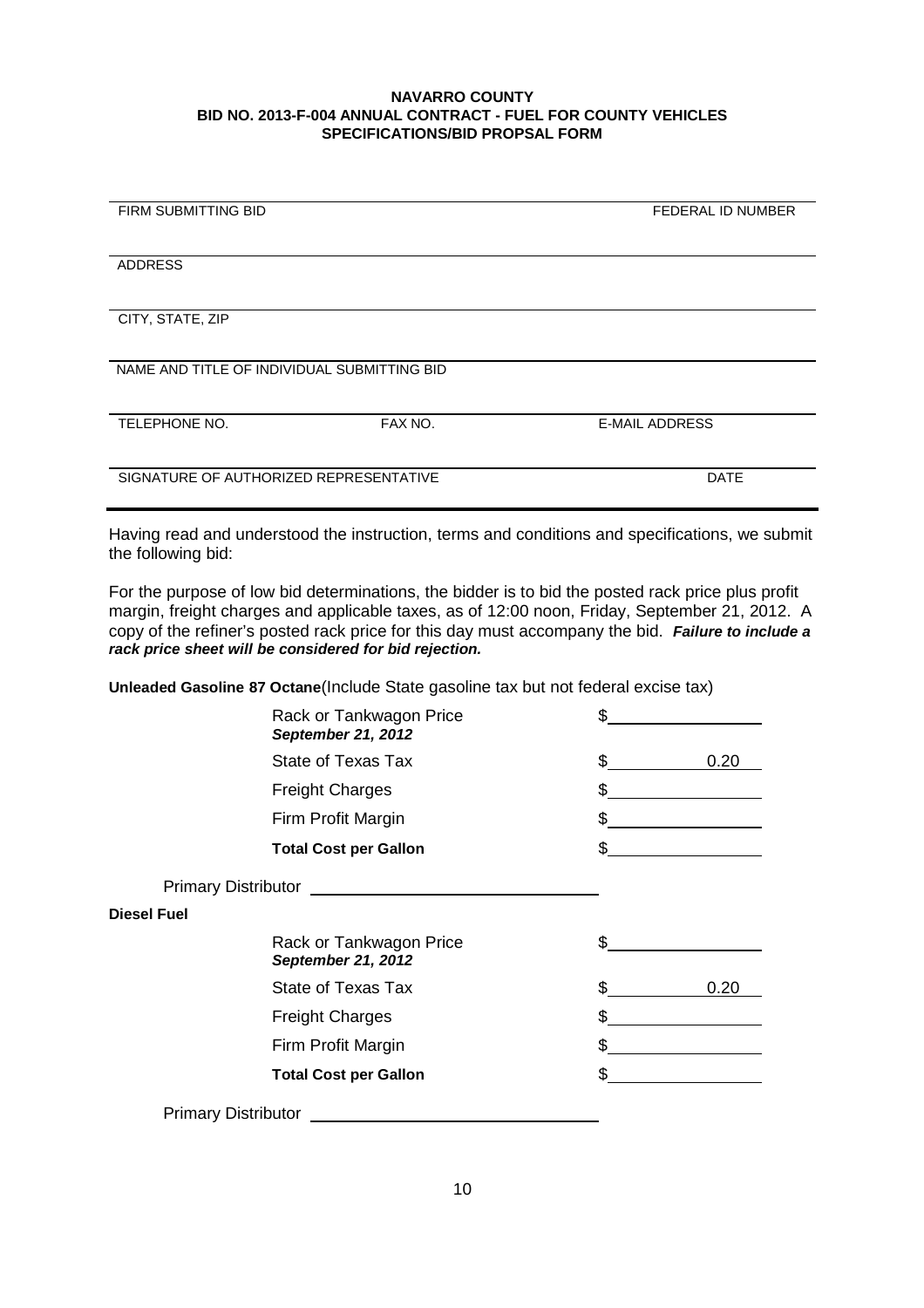| FIRM SUBMITTING BID                         |         | <b>FEDERAL ID NUMBER</b> |
|---------------------------------------------|---------|--------------------------|
|                                             |         |                          |
|                                             |         |                          |
|                                             |         |                          |
|                                             |         |                          |
| <b>ADDRESS</b>                              |         |                          |
|                                             |         |                          |
|                                             |         |                          |
|                                             |         |                          |
| CITY, STATE, ZIP                            |         |                          |
|                                             |         |                          |
|                                             |         |                          |
|                                             |         |                          |
|                                             |         |                          |
| NAME AND TITLE OF INDIVIDUAL SUBMITTING BID |         |                          |
|                                             |         |                          |
|                                             |         |                          |
|                                             |         |                          |
| TELEPHONE NO.                               | FAX NO. | <b>E-MAIL ADDRESS</b>    |
|                                             |         |                          |
|                                             |         |                          |
|                                             |         |                          |
|                                             |         |                          |
| SIGNATURE OF AUTHORIZED REPRESENTATIVE      |         | <b>DATE</b>              |
|                                             |         |                          |
|                                             |         |                          |

Having read and understood the instruction, terms and conditions and specifications, we submit the following bid:

For the purpose of low bid determinations, the bidder is to bid the posted rack price plus profit margin, freight charges and applicable taxes, as of 12:00 noon, Friday, September 21, 2012. A copy of the refiner's posted rack price for this day must accompany the bid. *Failure to include a rack price sheet will be considered for bid rejection.*

**Unleaded Gasoline 87 Octane**(Include State gasoline tax but not federal excise tax)

|                            | Rack or Tankwagon Price<br>September 21, 2012 | \$  |      |
|----------------------------|-----------------------------------------------|-----|------|
|                            | State of Texas Tax                            | \$  | 0.20 |
|                            | <b>Freight Charges</b>                        | \$  |      |
|                            | Firm Profit Margin                            |     |      |
|                            | <b>Total Cost per Gallon</b>                  | \$  |      |
|                            |                                               |     |      |
| <b>Diesel Fuel</b>         |                                               |     |      |
|                            | Rack or Tankwagon Price<br>September 21, 2012 | \$  |      |
|                            | State of Texas Tax                            | \$. | 0.20 |
|                            | <b>Freight Charges</b>                        | \$  |      |
|                            | Firm Profit Margin                            | \$  |      |
|                            | <b>Total Cost per Gallon</b>                  | \$  |      |
| <b>Primary Distributor</b> |                                               |     |      |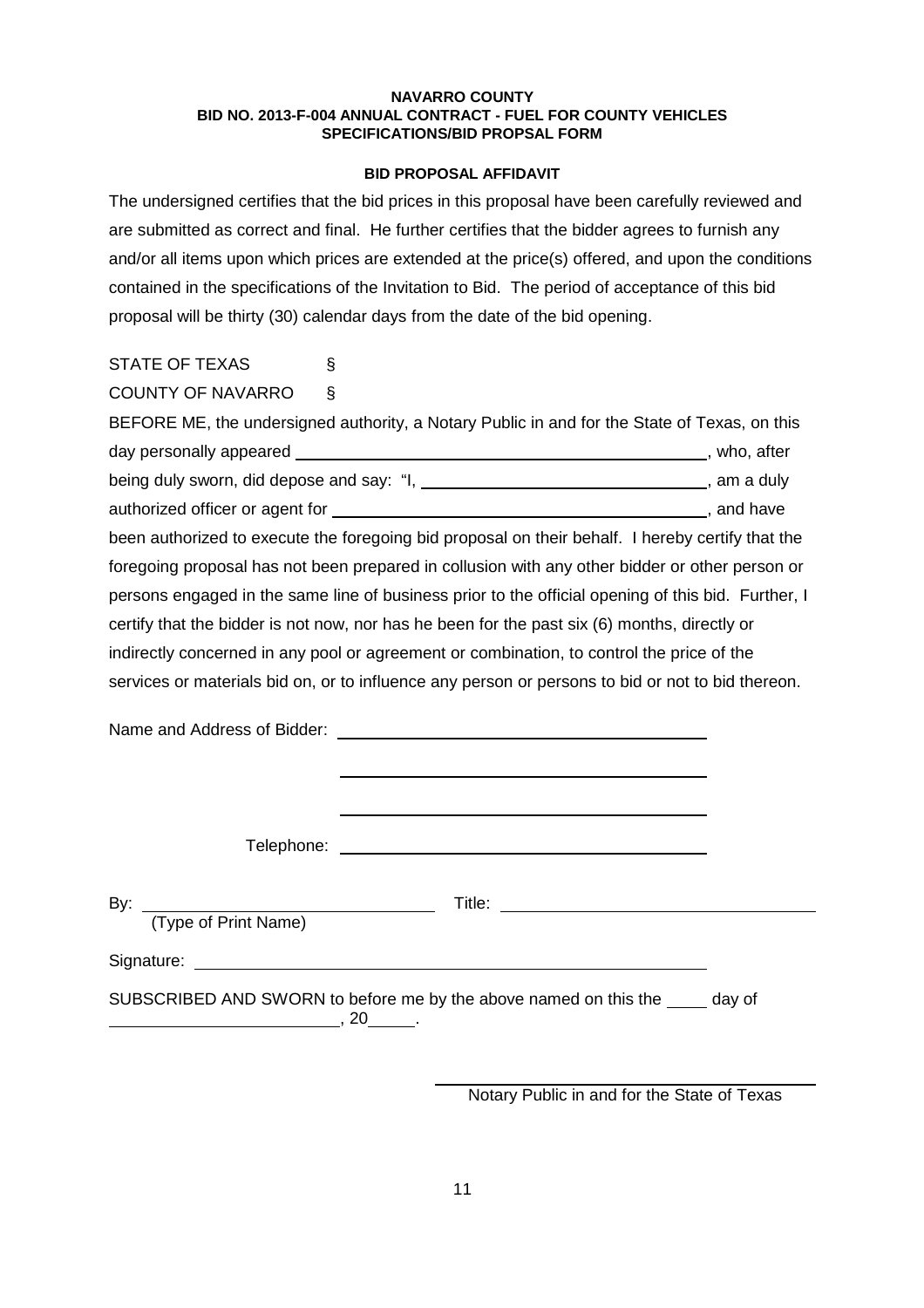## **BID PROPOSAL AFFIDAVIT**

The undersigned certifies that the bid prices in this proposal have been carefully reviewed and are submitted as correct and final. He further certifies that the bidder agrees to furnish any and/or all items upon which prices are extended at the price(s) offered, and upon the conditions contained in the specifications of the Invitation to Bid. The period of acceptance of this bid proposal will be thirty (30) calendar days from the date of the bid opening.

| STATE OF TEXAS |  |
|----------------|--|
|                |  |

COUNTY OF NAVARRO §

| BEFORE ME, the undersigned authority, a Notary Public in and for the State of Texas, on this       |              |  |
|----------------------------------------------------------------------------------------------------|--------------|--|
| day personally appeared ________                                                                   | , who, after |  |
| being duly sworn, did depose and say: "I,                                                          | , am a duly  |  |
|                                                                                                    | , and have   |  |
| been authorized to execute the foregoing bid proposal on their behalf. I hereby certify that the   |              |  |
| foregoing proposal has not been prepared in collusion with any other bidder or other person or     |              |  |
| persons engaged in the same line of business prior to the official opening of this bid. Further, I |              |  |
| certify that the bidder is not now, nor has he been for the past six (6) months, directly or       |              |  |
| indirectly concerned in any pool or agreement or combination, to control the price of the          |              |  |
| services or materials bid on, or to influence any person or persons to bid or not to bid thereon.  |              |  |

Name and Address of Bidder:

Telephone: The contract of the contract of the contract of the contract of the contract of the contract of the contract of the contract of the contract of the contract of the contract of the contract of the contract of the

By: Title: (Type of Print Name)

Signature: \_

SUBSCRIBED AND SWORN to before me by the above named on this the day of ,  $20$   $, 20$   $, \ldots$ 

Notary Public in and for the State of Texas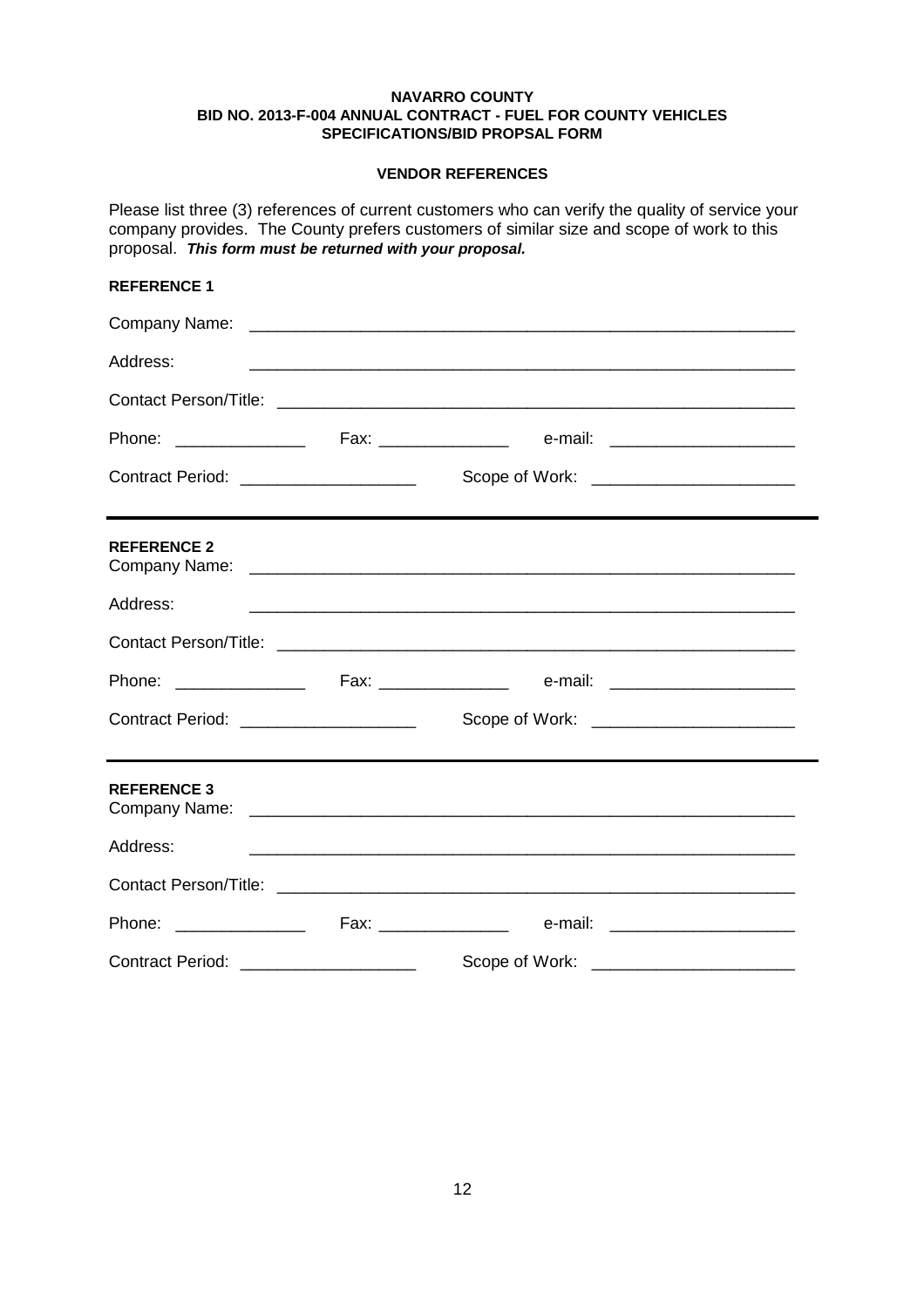## **VENDOR REFERENCES**

Please list three (3) references of current customers who can verify the quality of service your company provides. The County prefers customers of similar size and scope of work to this proposal. *This form must be returned with your proposal.*

## **REFERENCE 1**

| Address:                               |                                                                                                                       |  |
|----------------------------------------|-----------------------------------------------------------------------------------------------------------------------|--|
|                                        |                                                                                                                       |  |
|                                        |                                                                                                                       |  |
| Contract Period: _____________________ | Scope of Work: _______________________                                                                                |  |
| <b>REFERENCE 2</b>                     |                                                                                                                       |  |
| Address:                               | <u> 1989 - Johann Harry Harry Harry Harry Harry Harry Harry Harry Harry Harry Harry Harry Harry Harry Harry Harry</u> |  |
|                                        |                                                                                                                       |  |
|                                        |                                                                                                                       |  |
| Contract Period: _____________________ | Scope of Work: _________________________                                                                              |  |
| <b>REFERENCE 3</b>                     |                                                                                                                       |  |
| Address:                               | <u> 1989 - Johann Barn, mars an t-Amerikaansk politiker (* 1989)</u>                                                  |  |
|                                        |                                                                                                                       |  |
|                                        |                                                                                                                       |  |
| Contract Period: _____________________ | Scope of Work:                                                                                                        |  |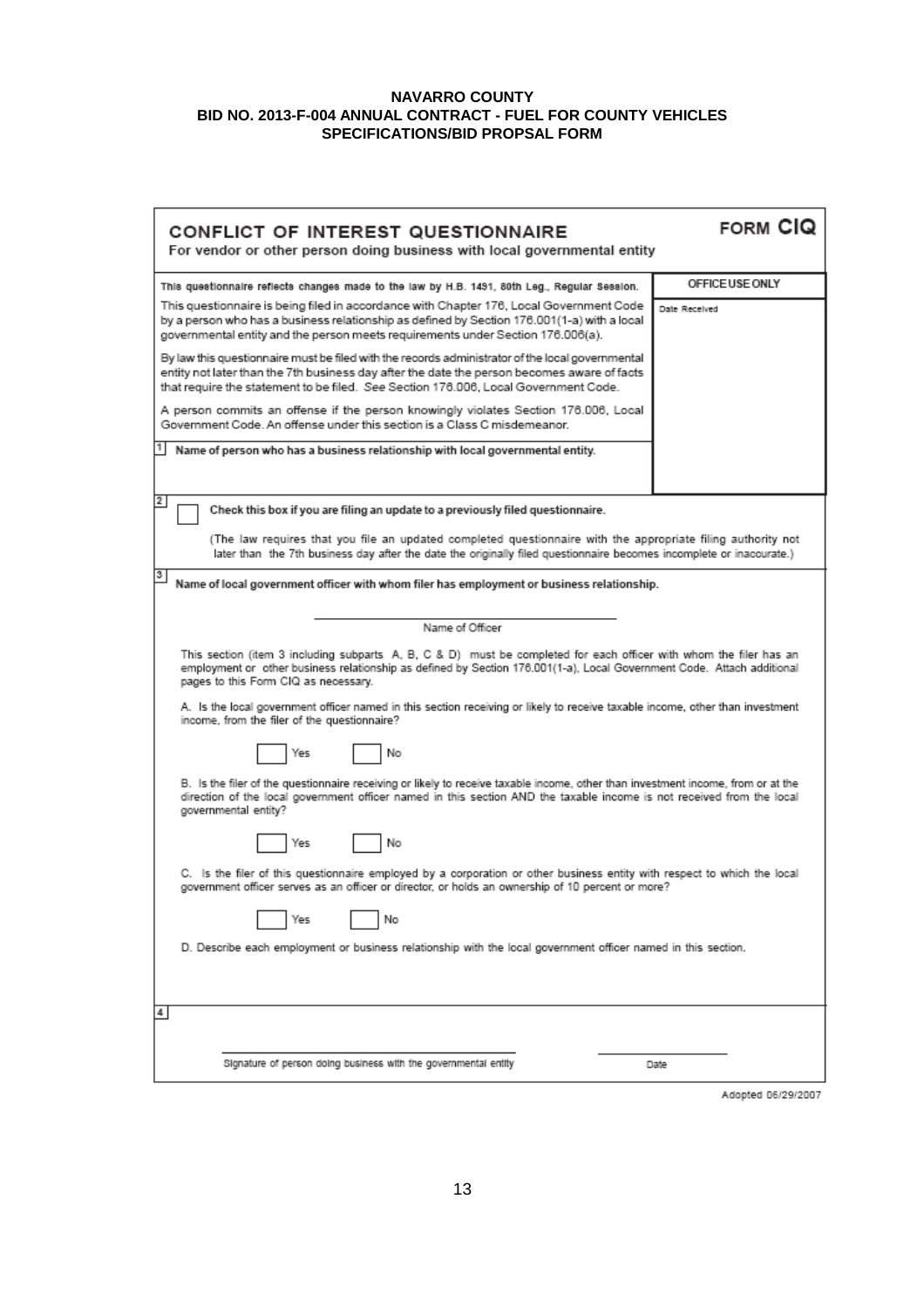| CONFLICT OF INTEREST QUESTIONNAIRE<br>For vendor or other person doing business with local governmental entity                                                                                                                                                                         | FORM CIO        |  |  |
|----------------------------------------------------------------------------------------------------------------------------------------------------------------------------------------------------------------------------------------------------------------------------------------|-----------------|--|--|
| This questionnaire reflects changes made to the law by H.B. 1491, 80th Leg., Regular Session.                                                                                                                                                                                          | OFFICE USE ONLY |  |  |
| This questionnaire is being filed in accordance with Chapter 176, Local Government Code<br>by a person who has a business relationship as defined by Section 176.001(1-a) with a local<br>governmental entity and the person meets requirements under Section 176.006(a).              | Date Received   |  |  |
| By law this questionnaire must be filed with the records administrator of the local governmental<br>entity not later than the 7th business day after the date the person becomes aware of facts<br>that require the statement to be filed. See Section 176.006, Local Government Code. |                 |  |  |
| A person commits an offense if the person knowingly violates Section 176.006, Local<br>Government Code. An offense under this section is a Class C misdemeanor.                                                                                                                        |                 |  |  |
| Name of person who has a business relationship with local governmental entity.                                                                                                                                                                                                         |                 |  |  |
| 2<br>Check this box if you are filing an update to a previously filed questionnaire.                                                                                                                                                                                                   |                 |  |  |
| (The law requires that you file an updated completed questionnaire with the appropriate filing authority not<br>later than the 7th business day after the date the originally filed questionnaire becomes incomplete or inaccurate.)                                                   |                 |  |  |
| Name of local government officer with whom filer has employment or business relationship.                                                                                                                                                                                              |                 |  |  |
| Name of Officer                                                                                                                                                                                                                                                                        |                 |  |  |
| This section (item 3 including subparts A, B, C & D) must be completed for each officer with whom the filer has an<br>employment or other business relationship as defined by Section 176.001(1-a), Local Government Code. Attach additional<br>pages to this Form CIQ as necessary.   |                 |  |  |
| A. Is the local government officer named in this section receiving or likely to receive taxable income, other than investment<br>income, from the filer of the questionnaire?                                                                                                          |                 |  |  |
| Yes<br>No                                                                                                                                                                                                                                                                              |                 |  |  |
| B. Is the filer of the questionnaire receiving or likely to receive taxable income, other than investment income, from or at the<br>direction of the local government officer named in this section AND the taxable income is not received from the local<br>governmental entity?      |                 |  |  |
| No<br>Yes                                                                                                                                                                                                                                                                              |                 |  |  |
| C. Is the filer of this questionnaire employed by a corporation or other business entity with respect to which the local<br>government officer serves as an officer or director, or holds an ownership of 10 percent or more?                                                          |                 |  |  |
| No<br>res                                                                                                                                                                                                                                                                              |                 |  |  |
| D. Describe each employment or business relationship with the local government officer named in this section.                                                                                                                                                                          |                 |  |  |
| 4                                                                                                                                                                                                                                                                                      |                 |  |  |
| Signature of person doing business with the governmental entity                                                                                                                                                                                                                        | Date            |  |  |

Adopted 06/29/2007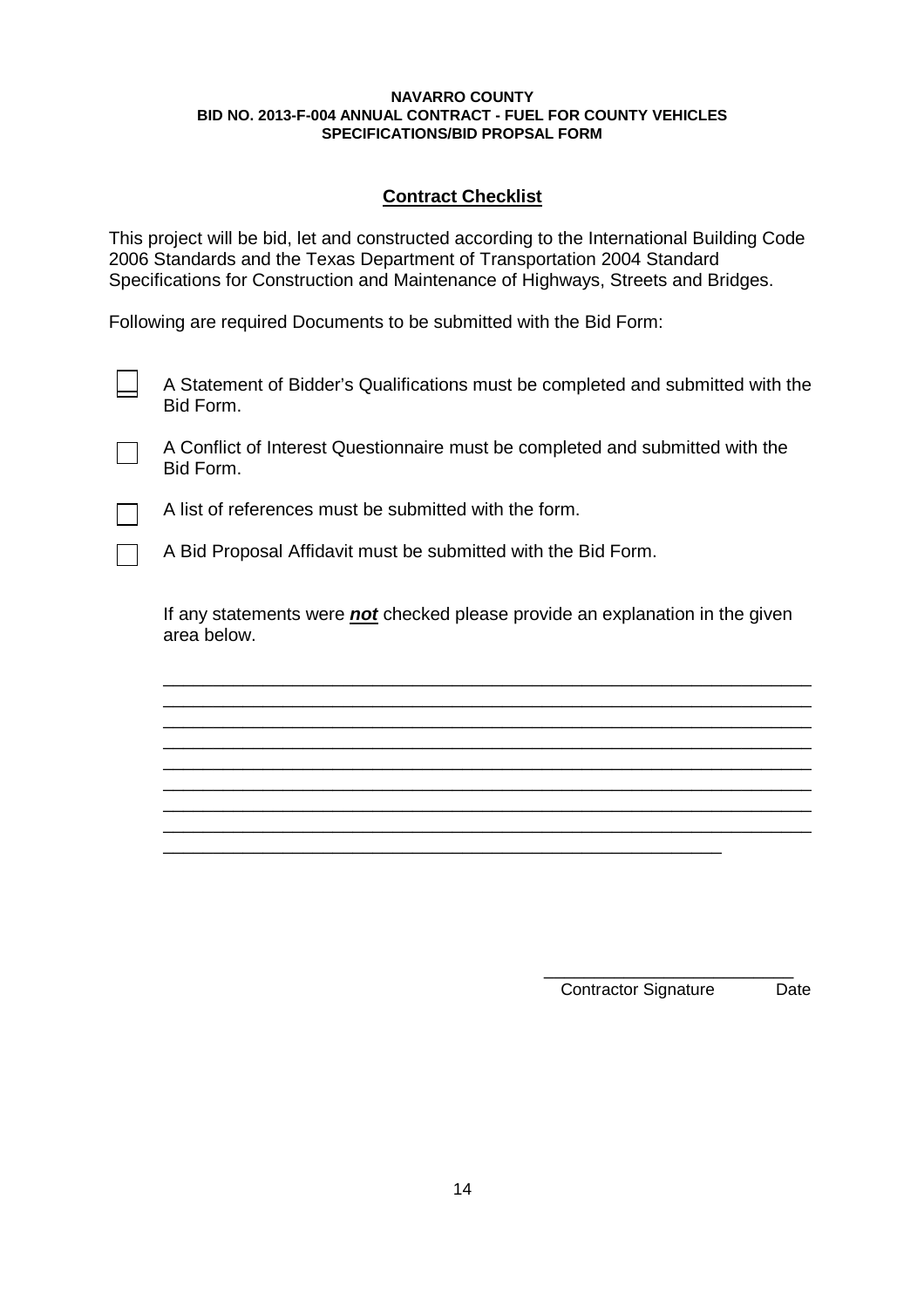# **Contract Checklist**

This project will be bid, let and constructed according to the International Building Code 2006 Standards and the Texas Department of Transportation 2004 Standard Specifications for Construction and Maintenance of Highways, Streets and Bridges.

Following are required Documents to be submitted with the Bid Form:

| A Statement of Bidder's Qualifications must be completed and submitted with the |  |
|---------------------------------------------------------------------------------|--|
| Bid Form.                                                                       |  |

A Conflict of Interest Questionnaire must be completed and submitted with the Bid Form.



A list of references must be submitted with the form.

A Bid Proposal Affidavit must be submitted with the Bid Form.

If any statements were *not* checked please provide an explanation in the given area below.

\_\_\_\_\_\_\_\_\_\_\_\_\_\_\_\_\_\_\_\_\_\_\_\_\_\_\_\_\_\_\_\_\_\_\_\_\_\_\_\_\_\_\_\_\_\_\_\_\_\_\_\_\_\_\_\_\_\_\_\_\_\_\_\_\_ \_\_\_\_\_\_\_\_\_\_\_\_\_\_\_\_\_\_\_\_\_\_\_\_\_\_\_\_\_\_\_\_\_\_\_\_\_\_\_\_\_\_\_\_\_\_\_\_\_\_\_\_\_\_\_\_\_\_\_\_\_\_\_\_\_ \_\_\_\_\_\_\_\_\_\_\_\_\_\_\_\_\_\_\_\_\_\_\_\_\_\_\_\_\_\_\_\_\_\_\_\_\_\_\_\_\_\_\_\_\_\_\_\_\_\_\_\_\_\_\_\_\_\_\_\_\_\_\_\_\_ \_\_\_\_\_\_\_\_\_\_\_\_\_\_\_\_\_\_\_\_\_\_\_\_\_\_\_\_\_\_\_\_\_\_\_\_\_\_\_\_\_\_\_\_\_\_\_\_\_\_\_\_\_\_\_\_\_\_\_\_\_\_\_\_\_ \_\_\_\_\_\_\_\_\_\_\_\_\_\_\_\_\_\_\_\_\_\_\_\_\_\_\_\_\_\_\_\_\_\_\_\_\_\_\_\_\_\_\_\_\_\_\_\_\_\_\_\_\_\_\_\_\_\_\_\_\_\_\_\_\_ \_\_\_\_\_\_\_\_\_\_\_\_\_\_\_\_\_\_\_\_\_\_\_\_\_\_\_\_\_\_\_\_\_\_\_\_\_\_\_\_\_\_\_\_\_\_\_\_\_\_\_\_\_\_\_\_\_\_\_\_\_\_\_\_\_ \_\_\_\_\_\_\_\_\_\_\_\_\_\_\_\_\_\_\_\_\_\_\_\_\_\_\_\_\_\_\_\_\_\_\_\_\_\_\_\_\_\_\_\_\_\_\_\_\_\_\_\_\_\_\_\_\_\_\_\_\_\_\_\_\_ \_\_\_\_\_\_\_\_\_\_\_\_\_\_\_\_\_\_\_\_\_\_\_\_\_\_\_\_\_\_\_\_\_\_\_\_\_\_\_\_\_\_\_\_\_\_\_\_\_\_\_\_\_\_\_\_\_\_\_\_\_\_\_\_\_

> \_\_\_\_\_\_\_\_\_\_\_\_\_\_\_\_\_\_\_\_\_\_\_\_\_ Contractor Signature Date